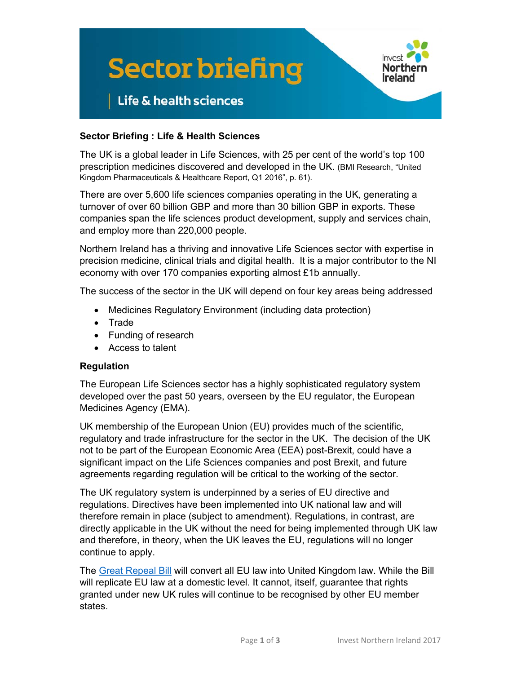

#### **Sector Briefing : Life & Health Sciences**

The UK is a global leader in Life Sciences, with 25 per cent of the world's top 100 prescription medicines discovered and developed in the UK. (BMI Research, "United Kingdom Pharmaceuticals & Healthcare Report, Q1 2016", p. 61).

There are over 5,600 life sciences companies operating in the UK, generating a turnover of over 60 billion GBP and more than 30 billion GBP in exports. These companies span the life sciences product development, supply and services chain, and employ more than 220,000 people.

Northern Ireland has a thriving and innovative Life Sciences sector with expertise in precision medicine, clinical trials and digital health. It is a major contributor to the NI economy with over 170 companies exporting almost £1b annually.

The success of the sector in the UK will depend on four key areas being addressed

- Medicines Regulatory Environment (including data protection)
- Trade
- Funding of research
- Access to talent

#### **Regulation**

The European Life Sciences sector has a highly sophisticated regulatory system developed over the past 50 years, overseen by the EU regulator, the European Medicines Agency (EMA).

UK membership of the European Union (EU) provides much of the scientific, regulatory and trade infrastructure for the sector in the UK. The decision of the UK not to be part of the European Economic Area (EEA) post-Brexit, could have a significant impact on the Life Sciences companies and post Brexit, and future agreements regarding regulation will be critical to the working of the sector.

The UK regulatory system is underpinned by a series of EU directive and regulations. Directives have been implemented into UK national law and will therefore remain in place (subject to amendment). Regulations, in contrast, are directly applicable in the UK without the need for being implemented through UK law and therefore, in theory, when the UK leaves the EU, regulations will no longer continue to apply.

The [Great Repeal Bill](https://www.gov.uk/government/publications/information-about-the-repeal-bill) will convert all EU law into United Kingdom law. While the Bill will replicate EU law at a domestic level. It cannot, itself, guarantee that rights granted under new UK rules will continue to be recognised by other EU member states.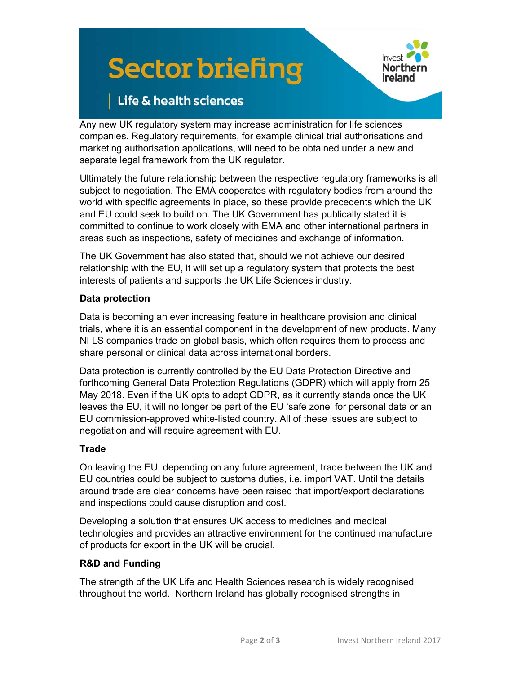# **Sector briefing**



# Life & health sciences

Any new UK regulatory system may increase administration for life sciences companies. Regulatory requirements, for example clinical trial authorisations and marketing authorisation applications, will need to be obtained under a new and separate legal framework from the UK regulator.

Ultimately the future relationship between the respective regulatory frameworks is all subject to negotiation. The EMA cooperates with regulatory bodies from around the world with specific agreements in place, so these provide precedents which the UK and EU could seek to build on. The UK Government has publically stated it is committed to continue to work closely with EMA and other international partners in areas such as inspections, safety of medicines and exchange of information.

The UK Government has also stated that, should we not achieve our desired relationship with the EU, it will set up a regulatory system that protects the best interests of patients and supports the UK Life Sciences industry.

## **Data protection**

Data is becoming an ever increasing feature in healthcare provision and clinical trials, where it is an essential component in the development of new products. Many NI LS companies trade on global basis, which often requires them to process and share personal or clinical data across international borders.

Data protection is currently controlled by the EU Data Protection Directive and forthcoming General Data Protection Regulations (GDPR) which will apply from 25 May 2018. Even if the UK opts to adopt GDPR, as it currently stands once the UK leaves the EU, it will no longer be part of the EU 'safe zone' for personal data or an EU commission-approved white-listed country. All of these issues are subject to negotiation and will require agreement with EU.

## **Trade**

On leaving the EU, depending on any future agreement, trade between the UK and EU countries could be subject to customs duties, i.e. import VAT. Until the details around trade are clear concerns have been raised that import/export declarations and inspections could cause disruption and cost.

Developing a solution that ensures UK access to medicines and medical technologies and provides an attractive environment for the continued manufacture of products for export in the UK will be crucial.

## **R&D and Funding**

The strength of the UK Life and Health Sciences research is widely recognised throughout the world. Northern Ireland has globally recognised strengths in